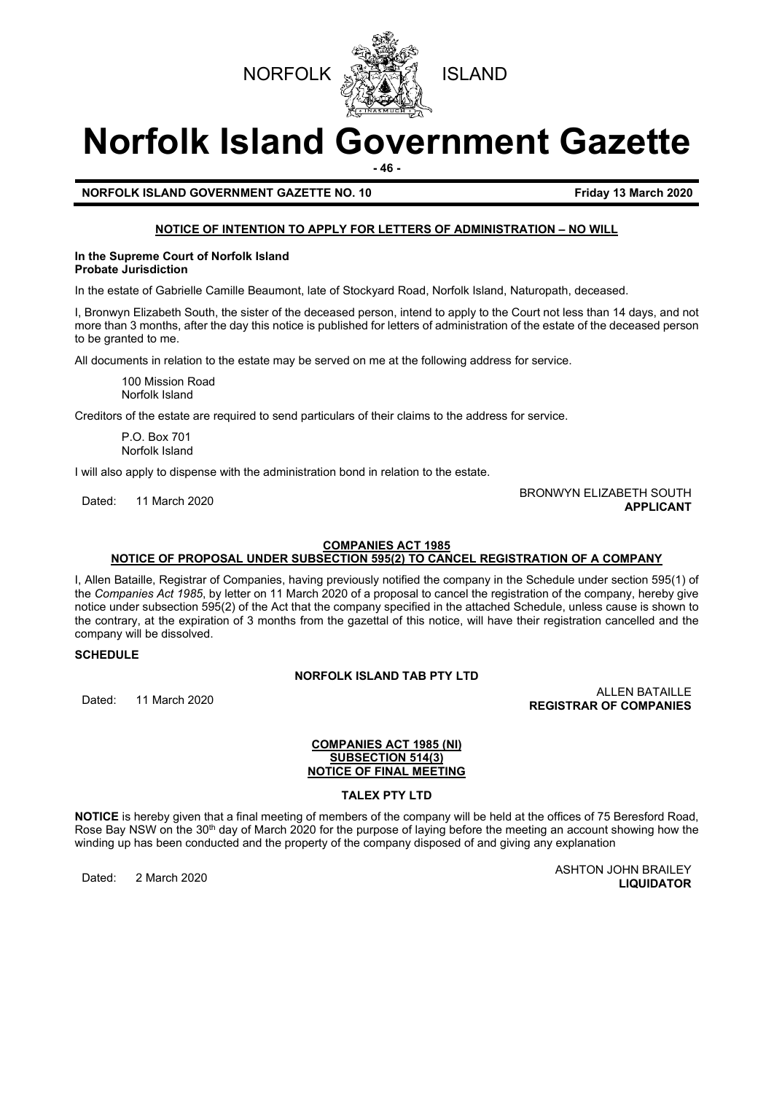



# **Norfolk Island Government Gazette**

**- 46 -**

**NORFOLK ISLAND GOVERNMENT GAZETTE NO. 10 Friday 13 March 2020**

# **NOTICE OF INTENTION TO APPLY FOR LETTERS OF ADMINISTRATION – NO WILL**

#### **In the Supreme Court of Norfolk Island Probate Jurisdiction**

In the estate of Gabrielle Camille Beaumont, late of Stockyard Road, Norfolk Island, Naturopath, deceased.

I, Bronwyn Elizabeth South, the sister of the deceased person, intend to apply to the Court not less than 14 days, and not more than 3 months, after the day this notice is published for letters of administration of the estate of the deceased person to be granted to me.

All documents in relation to the estate may be served on me at the following address for service.

100 Mission Road Norfolk Island

Creditors of the estate are required to send particulars of their claims to the address for service.

P.O. Box 701 Norfolk Island

I will also apply to dispense with the administration bond in relation to the estate.

# Dated: 11 March 2020 BRONWYN ELIZABETH SOUTH **APPLICANT**

#### **COMPANIES ACT 1985 NOTICE OF PROPOSAL UNDER SUBSECTION 595(2) TO CANCEL REGISTRATION OF A COMPANY**

I, Allen Bataille, Registrar of Companies, having previously notified the company in the Schedule under section 595(1) of the *Companies Act 1985*, by letter on 11 March 2020 of a proposal to cancel the registration of the company, hereby give notice under subsection 595(2) of the Act that the company specified in the attached Schedule, unless cause is shown to the contrary, at the expiration of 3 months from the gazettal of this notice, will have their registration cancelled and the company will be dissolved.

**SCHEDULE**

# **NORFOLK ISLAND TAB PTY LTD**

Dated: 11 March 2020 ALLEN BATAILLE **REGISTRAR OF COMPANIES**

# **COMPANIES ACT 1985 (NI) SUBSECTION 514(3) NOTICE OF FINAL MEETING**

# **TALEX PTY LTD**

**NOTICE** is hereby given that a final meeting of members of the company will be held at the offices of 75 Beresford Road, Rose Bay NSW on the 30<sup>th</sup> day of March 2020 for the purpose of laying before the meeting an account showing how the winding up has been conducted and the property of the company disposed of and giving any explanation

Dated: 2 March 2020 ASHTON JOHN BRAILEY **LIQUIDATOR**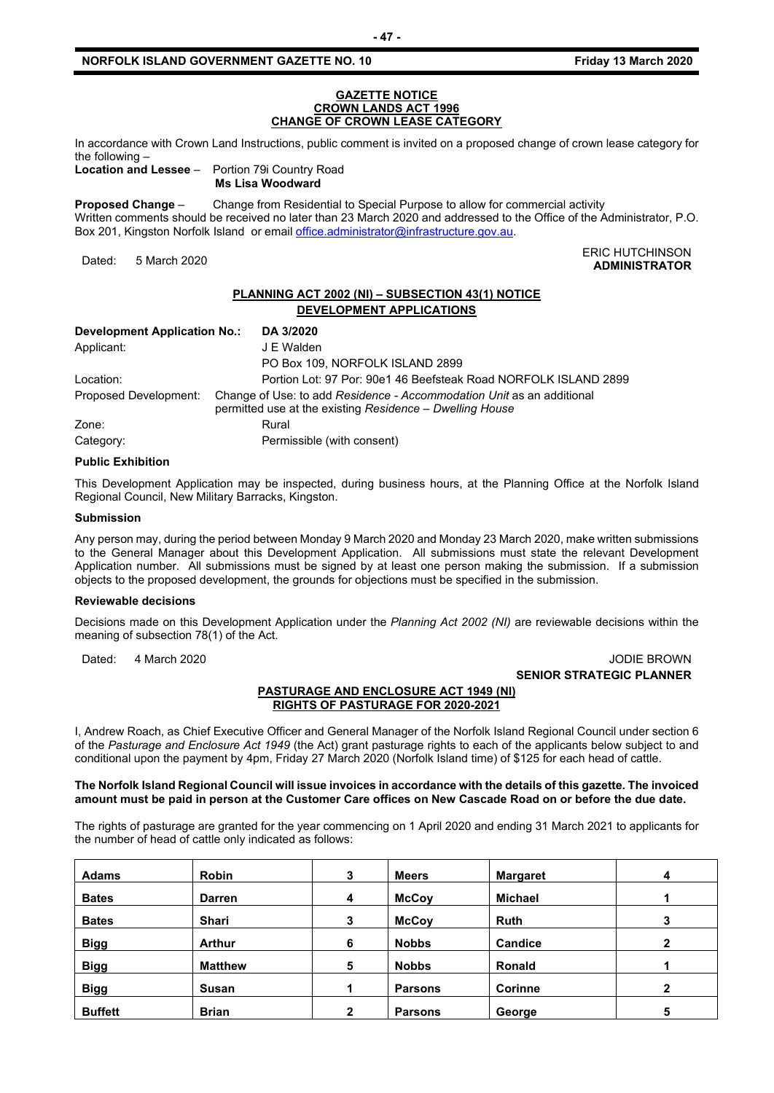#### **GAZETTE NOTICE CROWN LANDS ACT 1996 CHANGE OF CROWN LEASE CATEGORY**

In accordance with Crown Land Instructions, public comment is invited on a proposed change of crown lease category for the following –

**Location and Lessee** – Portion 79i Country Road **Ms Lisa Woodward**

**Proposed Change** – Change from Residential to Special Purpose to allow for commercial activity Written comments should be received no later than 23 March 2020 and addressed to the Office of the Administrator, P.O. Box 201, Kingston Norfolk Island or emai[l office.administrator@infrastructure.gov.au.](mailto:office.administrator@infrastructure.gov.au)

#### ERIC HUTCHINSON يستعد المستقلة المستقلة المستقلة التي تستعد المستقلة المستقلة التي تستعد المستقلة التي تستعد ا<br>Anninistrator **ADMINISTRATOR**

# **PLANNING ACT 2002 (NI) – SUBSECTION 43(1) NOTICE DEVELOPMENT APPLICATIONS**

| Development Application No.: | DA 3/2020                                                                                                                         |
|------------------------------|-----------------------------------------------------------------------------------------------------------------------------------|
| Applicant:                   | J E Walden                                                                                                                        |
|                              | PO Box 109, NORFOLK ISLAND 2899                                                                                                   |
| Location:                    | Portion Lot: 97 Por: 90e1 46 Beefsteak Road NORFOLK ISLAND 2899                                                                   |
| Proposed Development:        | Change of Use: to add Residence - Accommodation Unit as an additional<br>permitted use at the existing Residence - Dwelling House |
| Zone:                        | Rural                                                                                                                             |
| Category:                    | Permissible (with consent)                                                                                                        |

# **Public Exhibition**

This Development Application may be inspected, during business hours, at the Planning Office at the Norfolk Island Regional Council, New Military Barracks, Kingston.

#### **Submission**

Any person may, during the period between Monday 9 March 2020 and Monday 23 March 2020, make written submissions to the General Manager about this Development Application. All submissions must state the relevant Development Application number. All submissions must be signed by at least one person making the submission. If a submission objects to the proposed development, the grounds for objections must be specified in the submission.

#### **Reviewable decisions**

Decisions made on this Development Application under the *Planning Act 2002 (NI)* are reviewable decisions within the meaning of subsection 78(1) of the Act.

# Dated: 4 March 2020 **JODIE BROWN SENIOR STRATEGIC PLANNER**

## **PASTURAGE AND ENCLOSURE ACT 1949 (NI) RIGHTS OF PASTURAGE FOR 2020-2021**

I, Andrew Roach, as Chief Executive Officer and General Manager of the Norfolk Island Regional Council under section 6 of the *Pasturage and Enclosure Act 1949* (the Act) grant pasturage rights to each of the applicants below subject to and conditional upon the payment by 4pm, Friday 27 March 2020 (Norfolk Island time) of \$125 for each head of cattle.

## **The Norfolk Island Regional Council will issue invoices in accordance with the details of this gazette. The invoiced amount must be paid in person at the Customer Care offices on New Cascade Road on or before the due date.**

The rights of pasturage are granted for the year commencing on 1 April 2020 and ending 31 March 2021 to applicants for the number of head of cattle only indicated as follows:

| <b>Adams</b>   | <b>Robin</b>   | 3            | <b>Meers</b>   | <b>Margaret</b> | 4 |
|----------------|----------------|--------------|----------------|-----------------|---|
| <b>Bates</b>   | <b>Darren</b>  | 4            | <b>McCoy</b>   | <b>Michael</b>  |   |
| <b>Bates</b>   | Shari          | 3            | <b>McCoy</b>   | <b>Ruth</b>     |   |
| <b>Bigg</b>    | <b>Arthur</b>  | 6            | <b>Nobbs</b>   | <b>Candice</b>  | 2 |
| <b>Bigg</b>    | <b>Matthew</b> | 5            | <b>Nobbs</b>   | <b>Ronald</b>   |   |
| <b>Bigg</b>    | <b>Susan</b>   |              | <b>Parsons</b> | <b>Corinne</b>  | ົ |
| <b>Buffett</b> | <b>Brian</b>   | $\mathbf{2}$ | <b>Parsons</b> | George          | 5 |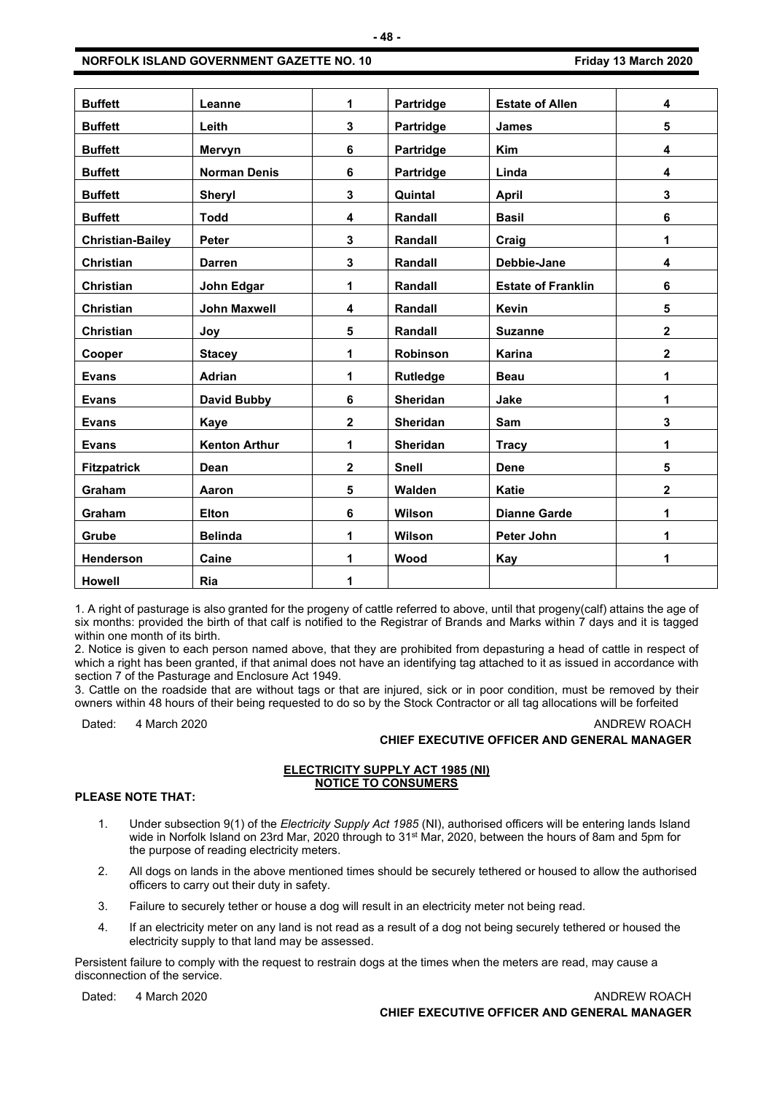| <b>Buffett</b>          | Leanne               | 1                       | Partridge        | <b>Estate of Allen</b>    | 4                       |
|-------------------------|----------------------|-------------------------|------------------|---------------------------|-------------------------|
| <b>Buffett</b>          | Leith                | 3                       | <b>Partridge</b> | <b>James</b>              | 5                       |
| <b>Buffett</b>          | Mervyn               | 6                       | Partridge        | <b>Kim</b>                | 4                       |
| <b>Buffett</b>          | <b>Norman Denis</b>  | 6                       | Partridge        | Linda                     | 4                       |
| <b>Buffett</b>          | <b>Sheryl</b>        | 3                       | Quintal          | <b>April</b>              | 3                       |
| <b>Buffett</b>          | <b>Todd</b>          | 4                       | Randall          | <b>Basil</b>              | $\bf 6$                 |
| <b>Christian-Bailey</b> | <b>Peter</b>         | 3                       | Randall          | Craig                     | 1                       |
| <b>Christian</b>        | <b>Darren</b>        | 3                       | Randall          | Debbie-Jane               | 4                       |
| Christian               | John Edgar           | 1                       | Randall          | <b>Estate of Franklin</b> | 6                       |
| <b>Christian</b>        | <b>John Maxwell</b>  | 4                       | Randall          | Kevin                     | 5                       |
| Christian               | Joy                  | 5                       | Randall          | <b>Suzanne</b>            | $\mathbf 2$             |
| Cooper                  | <b>Stacey</b>        | 1                       | Robinson         | Karina                    | $\mathbf{2}$            |
| <b>Evans</b>            | Adrian               | 1                       | <b>Rutledge</b>  | <b>Beau</b>               | 1                       |
| <b>Evans</b>            | <b>David Bubby</b>   | 6                       | <b>Sheridan</b>  | Jake                      | 1                       |
| <b>Evans</b>            | Kaye                 | $\overline{\mathbf{2}}$ | Sheridan         | Sam                       | 3                       |
| <b>Evans</b>            | <b>Kenton Arthur</b> | 1                       | <b>Sheridan</b>  | <b>Tracy</b>              | 1                       |
| <b>Fitzpatrick</b>      | Dean                 | $\overline{\mathbf{2}}$ | <b>Snell</b>     | <b>Dene</b>               | $5\phantom{a}$          |
| Graham                  | Aaron                | 5                       | Walden           | <b>Katie</b>              | $\overline{\mathbf{2}}$ |
| Graham                  | <b>Elton</b>         | 6                       | Wilson           | <b>Dianne Garde</b>       | 1                       |
| Grube                   | <b>Belinda</b>       | 1                       | Wilson           | Peter John                | 1                       |
| Henderson               | Caine                | 1                       | Wood             | <b>Kay</b>                | 1                       |
| <b>Howell</b>           | Ria                  | 1                       |                  |                           |                         |

1. A right of pasturage is also granted for the progeny of cattle referred to above, until that progeny(calf) attains the age of six months: provided the birth of that calf is notified to the Registrar of Brands and Marks within 7 days and it is tagged within one month of its birth.

2. Notice is given to each person named above, that they are prohibited from depasturing a head of cattle in respect of which a right has been granted, if that animal does not have an identifying tag attached to it as issued in accordance with section 7 of the Pasturage and Enclosure Act 1949.

3. Cattle on the roadside that are without tags or that are injured, sick or in poor condition, must be removed by their owners within 48 hours of their being requested to do so by the Stock Contractor or all tag allocations will be forfeited

Dated: 4 March 2020 **ANDREW ROACH** 

# **CHIEF EXECUTIVE OFFICER AND GENERAL MANAGER**

# **ELECTRICITY SUPPLY ACT 1985 (NI) NOTICE TO CONSUMERS**

# **PLEASE NOTE THAT:**

- 1. Under subsection 9(1) of the *Electricity Supply Act 1985* (NI), authorised officers will be entering lands Island wide in Norfolk Island on 23rd Mar, 2020 through to 31<sup>st</sup> Mar, 2020, between the hours of 8am and 5pm for the purpose of reading electricity meters.
- 2. All dogs on lands in the above mentioned times should be securely tethered or housed to allow the authorised officers to carry out their duty in safety.
- 3. Failure to securely tether or house a dog will result in an electricity meter not being read.
- 4. If an electricity meter on any land is not read as a result of a dog not being securely tethered or housed the electricity supply to that land may be assessed.

Persistent failure to comply with the request to restrain dogs at the times when the meters are read, may cause a disconnection of the service.

Dated: 4 March 2020 **ANDREW ROACH CHIEF EXECUTIVE OFFICER AND GENERAL MANAGER**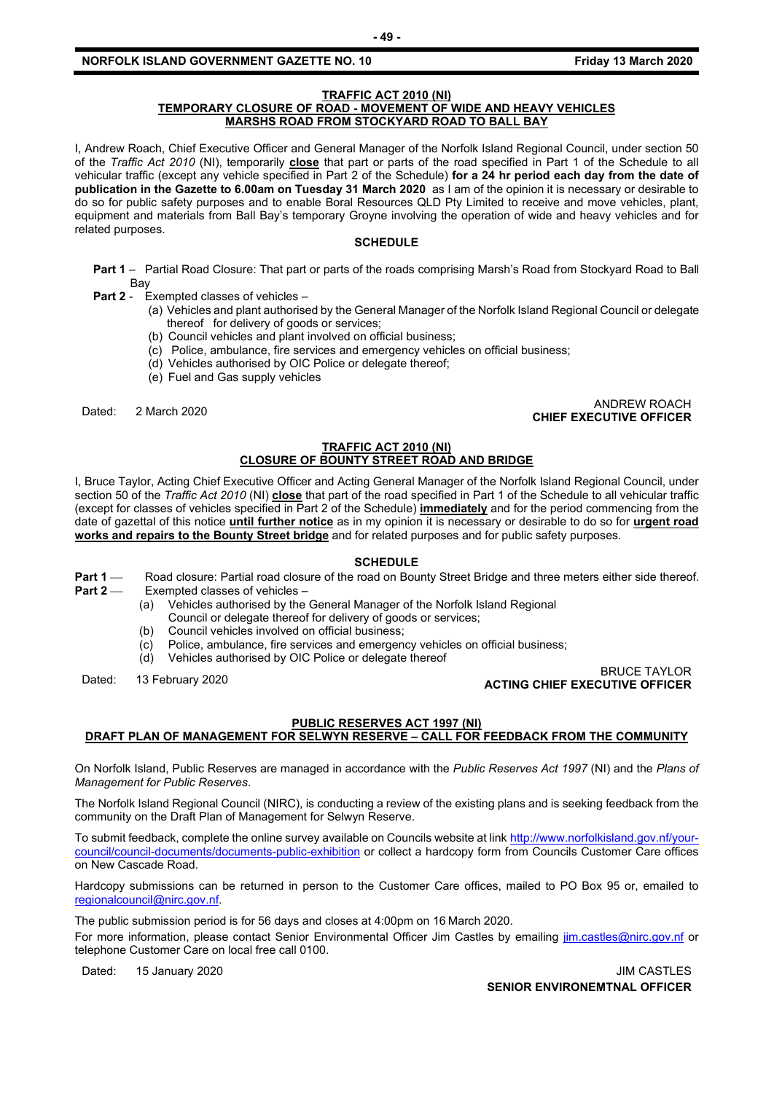# **NORFOLK ISLAND GOVERNMENT GAZETTE NO. 10 Friday 13 March 2020**

# **TRAFFIC ACT 2010 (NI)**

# **TEMPORARY CLOSURE OF ROAD - MOVEMENT OF WIDE AND HEAVY VEHICLES MARSHS ROAD FROM STOCKYARD ROAD TO BALL BAY**

I, Andrew Roach, Chief Executive Officer and General Manager of the Norfolk Island Regional Council, under section 50 of the *Traffic Act 2010* (NI), temporarily **close** that part or parts of the road specified in Part 1 of the Schedule to all vehicular traffic (except any vehicle specified in Part 2 of the Schedule) **for a 24 hr period each day from the date of publication in the Gazette to 6.00am on Tuesday 31 March 2020** as I am of the opinion it is necessary or desirable to do so for public safety purposes and to enable Boral Resources QLD Pty Limited to receive and move vehicles, plant, equipment and materials from Ball Bay's temporary Groyne involving the operation of wide and heavy vehicles and for related purposes.

## **SCHEDULE**

- **Part 1** Partial Road Closure: That part or parts of the roads comprising Marsh's Road from Stockyard Road to Ball Bay
- **Part 2** Exempted classes of vehicles
	- (a) Vehicles and plant authorised by the General Manager of the Norfolk Island Regional Council or delegate thereof for delivery of goods or services;
	- (b) Council vehicles and plant involved on official business;
	- (c) Police, ambulance, fire services and emergency vehicles on official business;
	- (d) Vehicles authorised by OIC Police or delegate thereof;
	- (e) Fuel and Gas supply vehicles

# Dated: 2 March 2020 ANDREW ROACH **CHIEF EXECUTIVE OFFICER**

# **TRAFFIC ACT 2010 (NI) CLOSURE OF BOUNTY STREET ROAD AND BRIDGE**

I, Bruce Taylor, Acting Chief Executive Officer and Acting General Manager of the Norfolk Island Regional Council, under section 50 of the *Traffic Act 2010* (NI) **close** that part of the road specified in Part 1 of the Schedule to all vehicular traffic (except for classes of vehicles specified in Part 2 of the Schedule) **immediately** and for the period commencing from the date of gazettal of this notice **until further notice** as in my opinion it is necessary or desirable to do so for **urgent road works and repairs to the Bounty Street bridge** and for related purposes and for public safety purposes.

#### **SCHEDULE**

- **Part 1** — Road closure: Partial road closure of the road on Bounty Street Bridge and three meters either side thereof.<br>**Part 2** — Exempted classes of vehicles **Exempted classes of vehicles -**
	- (a) Vehicles authorised by the General Manager of the Norfolk Island Regional
		- Council or delegate thereof for delivery of goods or services;
		- (b) Council vehicles involved on official business;
		- (c) Police, ambulance, fire services and emergency vehicles on official business;
		- (d) Vehicles authorised by OIC Police or delegate thereof

# Dated: 13 February 2020 BRUCE TAYLOR **ACTING CHIEF EXECUTIVE OFFICER**

# **PUBLIC RESERVES ACT 1997 (NI) DRAFT PLAN OF MANAGEMENT FOR SELWYN RESERVE – CALL FOR FEEDBACK FROM THE COMMUNITY**

On Norfolk Island, Public Reserves are managed in accordance with the *Public Reserves Act 1997* (NI) and the *Plans of Management for Public Reserves*.

The Norfolk Island Regional Council (NIRC), is conducting a review of the existing plans and is seeking feedback from the community on the Draft Plan of Management for Selwyn Reserve.

To submit feedback, complete the online survey available on Councils website at link [http://www.norfolkisland.gov.nf/your](http://www.norfolkisland.gov.nf/your-council/council-documents/documents-public-exhibition)[council/council-documents/documents-public-exhibition](http://www.norfolkisland.gov.nf/your-council/council-documents/documents-public-exhibition) or collect a hardcopy form from Councils Customer Care offices on New Cascade Road.

Hardcopy submissions can be returned in person to the Customer Care offices, mailed to PO Box 95 or, emailed to [regionalcouncil@nirc.gov.nf.](mailto:regionalcouncil@nirc.gov.nf)

The public submission period is for 56 days and closes at 4:00pm on 16 March 2020.

For more information, please contact Senior Environmental Officer Jim Castles by emailing [jim.castles@nirc.gov.nf](mailto:jim.castles@nirc.gov.nf) or telephone Customer Care on local free call 0100.

Dated: 15 January 2020 **JIM CASTLES** 

**SENIOR ENVIRONEMTNAL OFFICER**